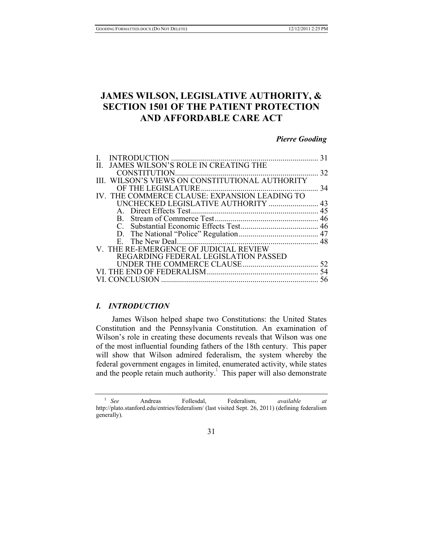# **JAMES WILSON, LEGISLATIVE AUTHORITY, & SECTION 1501 OF THE PATIENT PROTECTION AND AFFORDABLE CARE ACT**

## *Pierre Gooding*

| <b>INTRODUCTION</b>                             |    |
|-------------------------------------------------|----|
| JAMES WILSON'S ROLE IN CREATING THE<br>Н.       |    |
|                                                 | 32 |
| III. WILSON'S VIEWS ON CONSTITUTIONAL AUTHORITY |    |
| OF THE LEGISLATURE                              | 34 |
| IV. THE COMMERCE CLAUSE: EXPANSION LEADING TO   |    |
|                                                 |    |
|                                                 |    |
|                                                 |    |
|                                                 |    |
|                                                 |    |
|                                                 |    |
| V. THE RE-EMERGENCE OF JUDICIAL REVIEW          |    |
| <b>REGARDING FEDERAL LEGISLATION PASSED</b>     |    |
|                                                 | 52 |
|                                                 | 54 |
| VI. CONCLUSION                                  | 56 |

## *I. INTRODUCTION*

James Wilson helped shape two Constitutions: the United States Constitution and the Pennsylvania Constitution. An examination of Wilson's role in creating these documents reveals that Wilson was one of the most influential founding fathers of the 18th century. This paper will show that Wilson admired federalism, the system whereby the federal government engages in limited, enumerated activity, while states and the people retain much authority.<sup> $\perp$ </sup> This paper will also demonstrate

31

<sup>1</sup> *See* Andreas Follesdal, Federalism, *available at*  http://plato.stanford.edu/entries/federalism/ (last visited Sept. 26, 2011) (defining federalism generally).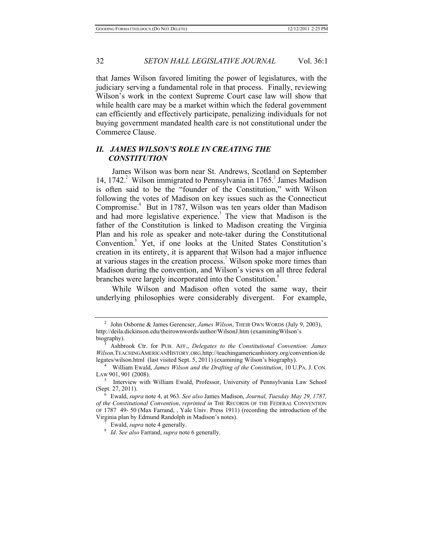that James Wilson favored limiting the power of legislatures, with the judiciary serving a fundamental role in that process. Finally, reviewing Wilson's work in the context Supreme Court case law will show that while health care may be a market within which the federal government can efficiently and effectively participate, penalizing individuals for not buying government mandated health care is not constitutional under the Commerce Clause.

## *II. JAMES WILSON'S ROLE IN CREATING THE CONSTITUTION*

James Wilson was born near St. Andrews, Scotland on September 14, 1742. $^2$  Wilson immigrated to Pennsylvania in 1765. $^3$  James Madison is often said to be the "founder of the Constitution," with Wilson following the votes of Madison on key issues such as the Connecticut Compromise.<sup>4</sup> But in 1787, Wilson was ten years older than Madison and had more legislative experience.<sup>5</sup> The view that Madison is the father of the Constitution is linked to Madison creating the Virginia Plan and his role as speaker and note-taker during the Constitutional Convention.<sup>6</sup> Yet, if one looks at the United States Constitution's creation in its entirety, it is apparent that Wilson had a major influence at various stages in the creation process.<sup>7</sup> Wilson spoke more times than Madison during the convention, and Wilson's views on all three federal branches were largely incorporated into the Constitution.<sup>8</sup>

While Wilson and Madison often voted the same way, their underlying philosophies were considerably divergent. For example,

<sup>2</sup> John Osborne & James Gerencser, *James Wilson*, THEIR OWN WORDS (July 9, 2003), http://deila.dickinson.edu/theirownwords/author/WilsonJ.htm (examiningWilson's biography). 3 Ashbrook Ctr. for PUB. AFF., *Delegates to the Constitutional Convention: James* 

*Wilson,*TEACHINGAMERICANHISTORY.ORG*,*http://teachingamericanhistory.org/convention/de legates/wilson.html (last visited Sept. 5, 2011) (examining Wilson's biography).

<sup>4</sup> William Ewald, *James Wilson and the Drafting of the Constitution*, 10 U.PA. J. CON.

 $5$  Interview with William Ewald, Professor, University of Pennsylvania Law School (Sept. 27, 2011).

<sup>(</sup>Sept. 27, 2011). 6 Ewald, *supra* note 4, at 963. *See also* James Madison, *Journal, Tuesday May 29, 1787, of the Constitutional Convention*, *reprinted in* THE RECORDS OF THE FEDERAL CONVENTION OF 1787 49- 50 (Max Farrand, , Yale Univ. Press 1911) (recording the introduction of the

<sup>&</sup>lt;sup>7</sup> Ewald, *supra* note 4 generally. 8 *Id. See also* Farrand, *supra* note 6 generally.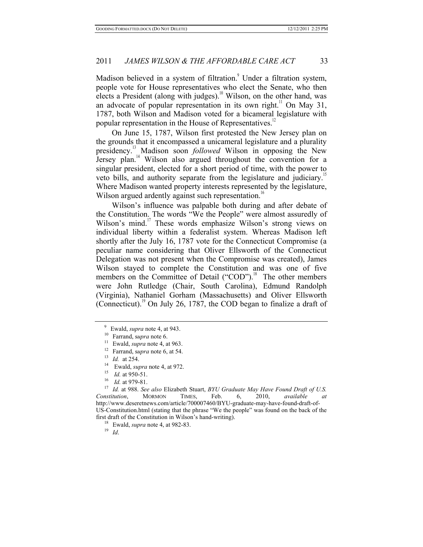Madison believed in a system of filtration.<sup>9</sup> Under a filtration system, people vote for House representatives who elect the Senate, who then elects a President (along with judges).<sup>10</sup> Wilson, on the other hand, was an advocate of popular representation in its own right.<sup>11</sup> On May 31, 1787, both Wilson and Madison voted for a bicameral legislature with popular representation in the House of Representatives.<sup>12</sup>

On June 15, 1787, Wilson first protested the New Jersey plan on the grounds that it encompassed a unicameral legislature and a plurality presidency.13 Madison soon *followed* Wilson in opposing the New Jersey plan.<sup>14</sup> Wilson also argued throughout the convention for a singular president, elected for a short period of time, with the power to veto bills, and authority separate from the legislature and judiciary.<sup>1</sup> Where Madison wanted property interests represented by the legislature, Wilson argued ardently against such representation.<sup>16</sup>

Wilson's influence was palpable both during and after debate of the Constitution. The words "We the People" were almost assuredly of Wilson's mind.<sup>17</sup> These words emphasize Wilson's strong views on individual liberty within a federalist system. Whereas Madison left shortly after the July 16, 1787 vote for the Connecticut Compromise (a peculiar name considering that Oliver Ellsworth of the Connecticut Delegation was not present when the Compromise was created), James Wilson stayed to complete the Constitution and was one of five members on the Committee of Detail ("COD").<sup>18</sup> The other members were John Rutledge (Chair, South Carolina), Edmund Randolph (Virginia), Nathaniel Gorham (Massachusetts) and Oliver Ellsworth (Connecticut).<sup>19</sup> On July 26, 1787, the COD began to finalize a draft of

<sup>9</sup> Ewald, *supra* note 4, at 943. 10 Farrand, s*upra* note 6. 11 Ewald, *supra* note 4, at 963.

<sup>&</sup>lt;sup>12</sup> Farrand, supra note 6, at 54.<br>
<sup>13</sup> *Id.* at 254.<br>
<sup>14</sup> Ewald, *supra* note 4, at 972.<br>
<sup>15</sup> *Id.* at 950-51.<br>
<sup>16</sup> *Id.* at 979-81.<br>
<sup>17</sup> *Id.* at 988. *See also* Elizabeth Stuart, *BYU Graduate May Have Found Draft Constitution*, MORMON TIMES, Feb. 6, 2010, *available at* http://www.deseretnews.com/article/700007460/BYU-graduate-may-have-found-draft-of-US-Constitution.html (stating that the phrase "We the people" was found on the back of the first draft of the Constitution in Wilson's hand-writing). 18 Ewald, *supra* note 4, at 982-83. 19 *Id*.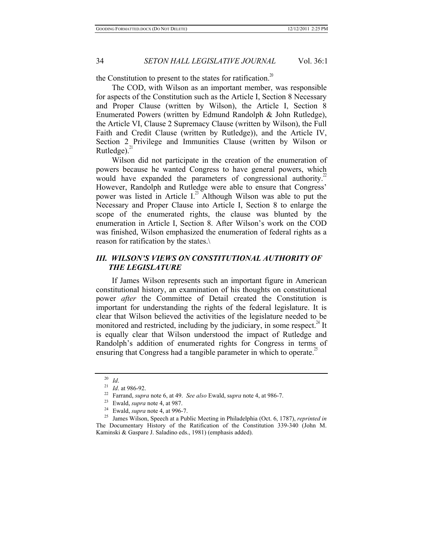the Constitution to present to the states for ratification.<sup>20</sup>

The COD, with Wilson as an important member, was responsible for aspects of the Constitution such as the Article I, Section 8 Necessary and Proper Clause (written by Wilson), the Article I, Section 8 Enumerated Powers (written by Edmund Randolph & John Rutledge), the Article VI, Clause 2 Supremacy Clause (written by Wilson), the Full Faith and Credit Clause (written by Rutledge)), and the Article IV, Section 2 Privilege and Immunities Clause (written by Wilson or Rutledge). $^{21}$ 

Wilson did not participate in the creation of the enumeration of powers because he wanted Congress to have general powers, which would have expanded the parameters of congressional authority.<sup>22</sup> However, Randolph and Rutledge were able to ensure that Congress' power was listed in Article I. $^{23}$  Although Wilson was able to put the Necessary and Proper Clause into Article I, Section 8 to enlarge the scope of the enumerated rights, the clause was blunted by the enumeration in Article I, Section 8. After Wilson's work on the COD was finished, Wilson emphasized the enumeration of federal rights as a reason for ratification by the states.\

## *III. WILSON'S VIEWS ON CONSTITUTIONAL AUTHORITY OF THE LEGISLATURE*

If James Wilson represents such an important figure in American constitutional history, an examination of his thoughts on constitutional power *after* the Committee of Detail created the Constitution is important for understanding the rights of the federal legislature. It is clear that Wilson believed the activities of the legislature needed to be monitored and restricted, including by the judiciary, in some respect.<sup>24</sup> It is equally clear that Wilson understood the impact of Rutledge and Randolph's addition of enumerated rights for Congress in terms of ensuring that Congress had a tangible parameter in which to operate.<sup>25</sup>

<sup>&</sup>lt;sup>20</sup> *Id.*<br>
<sup>21</sup> *Id.* at 986-92.<br>
<sup>22</sup> Farrand, *supra* note 6, at 49. *See also* Ewald, *supra* note 4, at 986-7.<br>
<sup>23</sup> Ewald, *supra* note 4, at 987.<br>
<sup>24</sup> Ewald, *supra* note 4, at 996-7.<br>
<sup>25</sup> James Wilson, Speech at The Documentary History of the Ratification of the Constitution 339-340 (John M. Kaminski & Gaspare J. Saladino eds., 1981) (emphasis added).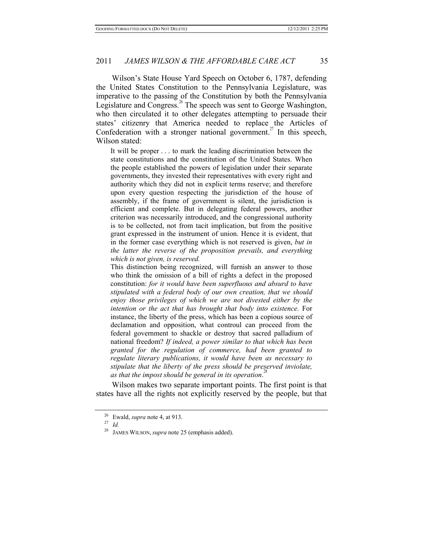Wilson's State House Yard Speech on October 6, 1787, defending the United States Constitution to the Pennsylvania Legislature, was imperative to the passing of the Constitution by both the Pennsylvania Legislature and Congress.<sup>26</sup> The speech was sent to George Washington, who then circulated it to other delegates attempting to persuade their states' citizenry that America needed to replace the Articles of Confederation with a stronger national government.<sup>27</sup> In this speech, Wilson stated:

It will be proper . . . to mark the leading discrimination between the state constitutions and the constitution of the United States. When the people established the powers of legislation under their separate governments, they invested their representatives with every right and authority which they did not in explicit terms reserve; and therefore upon every question respecting the jurisdiction of the house of assembly, if the frame of government is silent, the jurisdiction is efficient and complete. But in delegating federal powers, another criterion was necessarily introduced, and the congressional authority is to be collected, not from tacit implication, but from the positive grant expressed in the instrument of union. Hence it is evident, that in the former case everything which is not reserved is given, *but in the latter the reverse of the proposition prevails, and everything which is not given, is reserved.* 

This distinction being recognized, will furnish an answer to those who think the omission of a bill of rights a defect in the proposed constitution: *for it would have been superfluous and absurd to have stipulated with a federal body of our own creation, that we should enjoy those privileges of which we are not divested either by the intention or the act that has brought that body into existence.* For instance, the liberty of the press, which has been a copious source of declamation and opposition, what controul can proceed from the federal government to shackle or destroy that sacred palladium of national freedom? *If indeed, a power similar to that which has been granted for the regulation of commerce, had been granted to regulate literary publications, it would have been as necessary to stipulate that the liberty of the press should be preserved inviolate,*  as that the impost should be general in its operation.<sup>28</sup>

Wilson makes two separate important points. The first point is that states have all the rights not explicitly reserved by the people, but that

<sup>26</sup> Ewald, *supra* note 4, at 913. 27 *Id.* 

<sup>28</sup> JAMES WILSON, *supra* note 25 (emphasis added).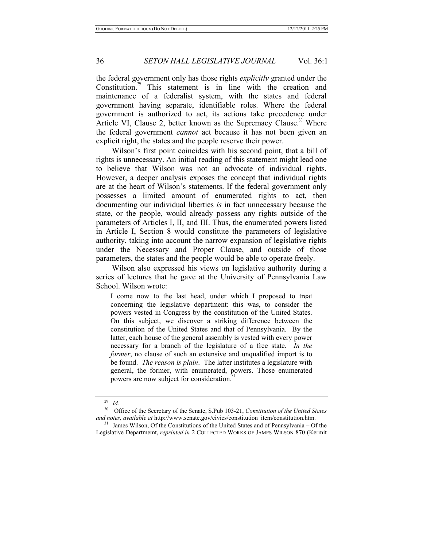the federal government only has those rights *explicitly* granted under the Constitution. $29$  This statement is in line with the creation and maintenance of a federalist system, with the states and federal government having separate, identifiable roles. Where the federal government is authorized to act, its actions take precedence under Article VI, Clause 2, better known as the Supremacy Clause.<sup>30</sup> Where the federal government *cannot* act because it has not been given an explicit right, the states and the people reserve their power.

Wilson's first point coincides with his second point, that a bill of rights is unnecessary. An initial reading of this statement might lead one to believe that Wilson was not an advocate of individual rights. However, a deeper analysis exposes the concept that individual rights are at the heart of Wilson's statements. If the federal government only possesses a limited amount of enumerated rights to act, then documenting our individual liberties *is* in fact unnecessary because the state, or the people, would already possess any rights outside of the parameters of Articles I, II, and III. Thus, the enumerated powers listed in Article I, Section 8 would constitute the parameters of legislative authority, taking into account the narrow expansion of legislative rights under the Necessary and Proper Clause, and outside of those parameters, the states and the people would be able to operate freely.

Wilson also expressed his views on legislative authority during a series of lectures that he gave at the University of Pennsylvania Law School. Wilson wrote:

I come now to the last head, under which I proposed to treat concerning the legislative department: this was, to consider the powers vested in Congress by the constitution of the United States. On this subject, we discover a striking difference between the constitution of the United States and that of Pennsylvania. By the latter, each house of the general assembly is vested with every power necessary for a branch of the legislature of a free state. *In the former*, no clause of such an extensive and unqualified import is to be found. *The reason is plain*. The latter institutes a legislature with general, the former, with enumerated, powers. Those enumerated powers are now subject for consideration.<sup>3</sup>

<sup>29</sup> *Id.*

<sup>30</sup> Office of the Secretary of the Senate, S.Pub 103-21, *Constitution of the United States and notes, available at* http://www.senate.gov/civics/constitution\_item/constitution.htm. 31 James Wilson, Of the Constitutions of the United States and of Pennsylvania – Of the

Legislative Departmemt, *reprinted in* 2 COLLECTED WORKS OF JAMES WILSON 870 (Kermit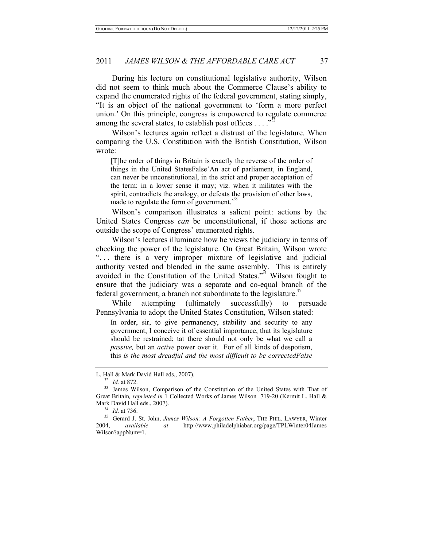During his lecture on constitutional legislative authority, Wilson did not seem to think much about the Commerce Clause's ability to expand the enumerated rights of the federal government, stating simply, "It is an object of the national government to 'form a more perfect union.' On this principle, congress is empowered to regulate commerce among the several states, to establish post offices  $\dots$   $\mathbb{R}^{32}$ 

Wilson's lectures again reflect a distrust of the legislature. When comparing the U.S. Constitution with the British Constitution, Wilson wrote:

[T]he order of things in Britain is exactly the reverse of the order of things in the United StatesFalse'An act of parliament, in England, can never be unconstitutional, in the strict and proper acceptation of the term: in a lower sense it may; viz. when it militates with the spirit, contradicts the analogy, or defeats the provision of other laws, made to regulate the form of government.<sup>33</sup>

Wilson's comparison illustrates a salient point: actions by the United States Congress *can* be unconstitutional, if those actions are outside the scope of Congress' enumerated rights.

Wilson's lectures illuminate how he views the judiciary in terms of checking the power of the legislature. On Great Britain, Wilson wrote "... there is a very improper mixture of legislative and judicial authority vested and blended in the same assembly. This is entirely avoided in the Constitution of the United States."34 Wilson fought to ensure that the judiciary was a separate and co-equal branch of the federal government, a branch not subordinate to the legislature.<sup>35</sup>

While attempting (ultimately successfully) to persuade Pennsylvania to adopt the United States Constitution, Wilson stated:

In order, sir, to give permanency, stability and security to any government, I conceive it of essential importance, that its legislature should be restrained; tat there should not only be what we call a *passive,* but an *active* power over it. For of all kinds of despotism, this *is the most dreadful and the most difficult to be correctedFalse* 

L. Hall & Mark David Hall eds., 2007).<br><sup>32</sup> *Id.* at 872.<br><sup>33</sup> James Wilson, Comparison of the Constitution of the United States with That of Great Britain*, reprinted in* 1 Collected Works of James Wilson 719-20 (Kermit L. Hall &

<sup>&</sup>lt;sup>34</sup> *Id.* at 736.<br><sup>35</sup> Gerard J. St. John, *James Wilson: A Forgotten Father*, THE PHIL. LAWYER, Winter<br>2004. *available at* http://www.philadelphiabar.org/page/TPLWinter04James 2004, *available at* http://www.philadelphiabar.org/page/TPLWinter04James Wilson?appNum=1.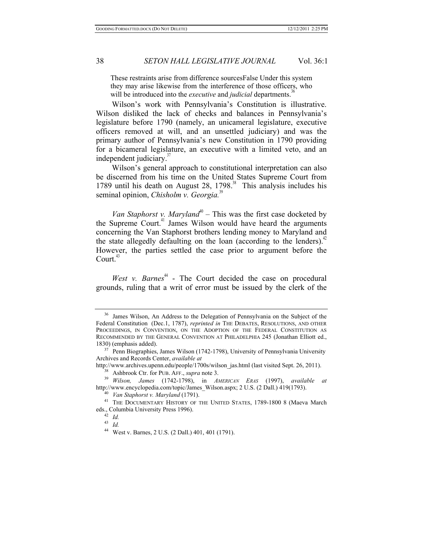These restraints arise from difference sourcesFalse Under this system they may arise likewise from the interference of those officers, who will be introduced into the *executive* and *judicial* departments.<sup>3</sup>

Wilson's work with Pennsylvania's Constitution is illustrative. Wilson disliked the lack of checks and balances in Pennsylvania's legislature before 1790 (namely, an unicameral legislature, executive officers removed at will, and an unsettled judiciary) and was the primary author of Pennsylvania's new Constitution in 1790 providing for a bicameral legislature, an executive with a limited veto, and an independent judiciary.<sup>37</sup>

Wilson's general approach to constitutional interpretation can also be discerned from his time on the United States Supreme Court from 1789 until his death on August 28, 1798. $38$  This analysis includes his seminal opinion, *Chisholm v. Georgia*.<sup>39</sup>

*Van Staphorst v. Maryland*<sup> $0$ </sup> – This was the first case docketed by the Supreme Court.<sup>41</sup> James Wilson would have heard the arguments concerning the Van Staphorst brothers lending money to Maryland and the state allegedly defaulting on the loan (according to the lenders).<sup>42</sup> However, the parties settled the case prior to argument before the  $Count.<sup>43</sup>$ 

*West v. Barnes*<sup> $44$ </sup> - The Court decided the case on procedural grounds, ruling that a writ of error must be issued by the clerk of the

<sup>&</sup>lt;sup>36</sup> James Wilson, An Address to the Delegation of Pennsylvania on the Subject of the Federal Constitution (Dec.1, 1787), *reprinted in* THE DEBATES, RESOLUTIONS, AND OTHER PROCEEDINGS, IN CONVENTION, ON THE ADOPTION OF THE FEDERAL CONSTITUTION AS RECOMMENDED BY THE GENERAL CONVENTION AT PHILADELPHIA 245 (Jonathan Elliott ed.,

<sup>1830) (</sup>emphasis added). 37 Penn Biographies, James Wilson (1742-1798), University of Pennsylvania University Archives and Records Center, *available at*<br>http://www.archives.upenn.edu/people/1700s/wilson jas.html (last visited Sept. 26, 2011).

<sup>&</sup>lt;sup>38</sup> Ashbrook Ctr. for PUB. AFF., *supra* note 3.<br><sup>39</sup> *Wilson, James* (1742-1798), in *AMERICAN ERAS* (1997), *available at* http://www.encyclopedia.com/topic/James\_Wilson.aspx; 2 U.S. (2 Dall.) 419(1793).<br><sup>40</sup> *Van Staphorst v. Maryland* (1791).<br><sup>41</sup> THE DOCUMENTARY HISTORY OF THE UNITED STATES, 1789-1800 8 (Maeva March

eds., Columbia University Press 1996). 42 *Id.*

<sup>43</sup> *Id.*

<sup>44</sup> West v. Barnes, 2 U.S. (2 Dall.) 401, 401 (1791).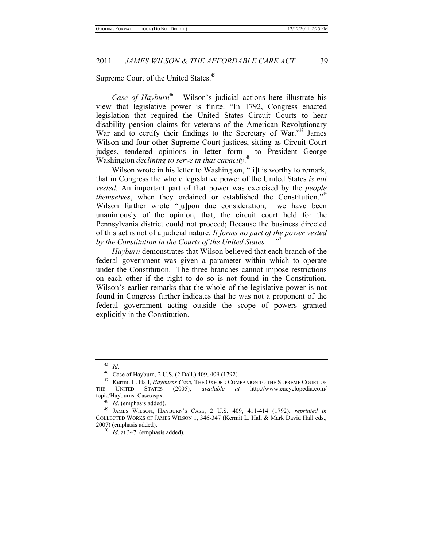Supreme Court of the United States.<sup>45</sup>

*Case of Hayburn*<sup>46</sup> - Wilson's judicial actions here illustrate his view that legislative power is finite. "In 1792, Congress enacted legislation that required the United States Circuit Courts to hear disability pension claims for veterans of the American Revolutionary War and to certify their findings to the Secretary of War." James Wilson and four other Supreme Court justices, sitting as Circuit Court judges, tendered opinions in letter form to President George Washington *declining to serve in that capacity*. 48

Wilson wrote in his letter to Washington, "[i]t is worthy to remark, that in Congress the whole legislative power of the United States *is not vested.* An important part of that power was exercised by the *people themselves*, when they ordained or established the Constitution." Wilson further wrote "[u]pon due consideration, we have been unanimously of the opinion, that, the circuit court held for the Pennsylvania district could not proceed; Because the business directed of this act is not of a judicial nature. *It forms no part of the power vested by the Constitution in the Courts of the United States...*"

*Hayburn* demonstrates that Wilson believed that each branch of the federal government was given a parameter within which to operate under the Constitution. The three branches cannot impose restrictions on each other if the right to do so is not found in the Constitution. Wilson's earlier remarks that the whole of the legislative power is not found in Congress further indicates that he was not a proponent of the federal government acting outside the scope of powers granted explicitly in the Constitution.

<sup>&</sup>lt;sup>45</sup> *Id.* Case of Hayburn, 2 U.S. (2 Dall.) 409, 409 (1792).

<sup>&</sup>lt;sup>47</sup> Kermit L. Hall, *Hayburns Case*, THE OXFORD COMPANION TO THE SUPREME COURT OF THE UNITED STATES (2005), *available at* http://www.encyclopedia.com/ topic/Hayburns\_Case.aspx.

<sup>48</sup> *Id*. (emphasis added). 49 JAMES WILSON, HAYBURN'S CASE, 2 U.S. 409, 411-414 (1792), *reprinted in* COLLECTED WORKS OF JAMES WILSON 1, 346-347 (Kermit L. Hall & Mark David Hall eds., 2007) (emphasis added). 50 *Id.* at 347. (emphasis added).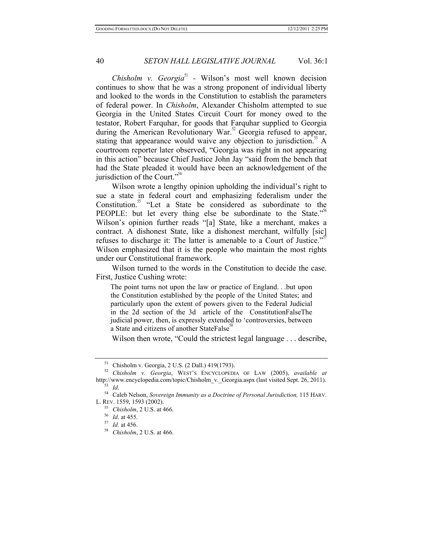*Chisholm v. Georgia*<sup>51</sup> - Wilson's most well known decision continues to show that he was a strong proponent of individual liberty and looked to the words in the Constitution to establish the parameters of federal power. In *Chisholm*, Alexander Chisholm attempted to sue Georgia in the United States Circuit Court for money owed to the testator, Robert Farquhar, for goods that Farquhar supplied to Georgia during the American Revolutionary War.<sup>52</sup> Georgia refused to appear, stating that appearance would waive any objection to jurisdiction.<sup>53</sup> A courtroom reporter later observed, "Georgia was right in not appearing in this action" because Chief Justice John Jay "said from the bench that had the State pleaded it would have been an acknowledgement of the jurisdiction of the Court."<sup>54</sup>

Wilson wrote a lengthy opinion upholding the individual's right to sue a state in federal court and emphasizing federalism under the Constitution.<sup>55</sup> "Let a State be considered as subordinate to the PEOPLE: but let every thing else be subordinate to the State. $55\%$ Wilson's opinion further reads "[a] State, like a merchant, makes a contract. A dishonest State, like a dishonest merchant, wilfully [sic] refuses to discharge it: The latter is amenable to a Court of Justice." Wilson emphasized that it is the people who maintain the most rights under our Constitutional framework.

Wilson turned to the words in the Constitution to decide the case. First, Justice Cushing wrote:

The point turns not upon the law or practice of England. . .but upon the Constitution established by the people of the United States; and particularly upon the extent of powers given to the Federal Judicial in the 2d section of the 3d article of the ConstitutionFalseThe judicial power, then, is expressly extended to 'controversies, between a State and citizens of another StateFalse<sup>38</sup>

Wilson then wrote, "Could the strictest legal language . . . describe,

<sup>&</sup>lt;sup>51</sup> Chisholm v. Georgia, 2 U.S. (2 Dall.) 419(1793).<br><sup>52</sup> *Chisholm v. Georgia*, WEST's ENCYCLOPEDIA OF LAW (2005), *available at* http://www.encyclopedia.com/topic/Chisholm v. Georgia.aspx (last visited Sept. 26, 2011).

<sup>&</sup>lt;sup>53</sup> Id.<br><sup>54</sup> Caleb Nelson, *Sovereign Immunity as a Doctrine of Personal Jurisdiction*, 115 HARV. L. REV. 1559, 1593 (2002). 55 *Chisholm*, 2 U.S. at 466. 56 *Id*. at 455. 57 *Id.* at 456. 58 *Chisholm*, 2 U.S. at 466.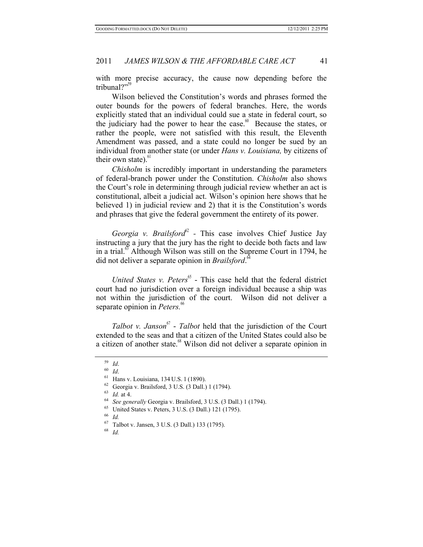with more precise accuracy, the cause now depending before the tribunal?"

Wilson believed the Constitution's words and phrases formed the outer bounds for the powers of federal branches. Here, the words explicitly stated that an individual could sue a state in federal court, so the judiciary had the power to hear the case.<sup>60</sup> Because the states, or rather the people, were not satisfied with this result, the Eleventh Amendment was passed, and a state could no longer be sued by an individual from another state (or under *Hans v. Louisiana,* by citizens of their own state). $61$ 

*Chisholm* is incredibly important in understanding the parameters of federal-branch power under the Constitution. *Chisholm* also shows the Court's role in determining through judicial review whether an act is constitutional, albeit a judicial act. Wilson's opinion here shows that he believed 1) in judicial review and 2) that it is the Constitution's words and phrases that give the federal government the entirety of its power.

*Georgia v. Brailsford* $62$  - This case involves Chief Justice Jay instructing a jury that the jury has the right to decide both facts and law in a trial.<sup>63</sup> Although Wilson was still on the Supreme Court in 1794, he did not deliver a separate opinion in *Brailsford*. 64

*United States v. Peters*<sup>65</sup> - This case held that the federal district court had no jurisdiction over a foreign individual because a ship was not within the jurisdiction of the court. Wilson did not deliver a separate opinion in *Peters*.<sup>66</sup>

*Talbot v. Janson*<sup>67</sup> - *Talbot* held that the jurisdiction of the Court extended to the seas and that a citizen of the United States could also be a citizen of another state.<sup>68</sup> Wilson did not deliver a separate opinion in

<sup>67</sup> Talbot v. Jansen, 3 U.S. (3 Dall.) 133 (1795). 68 *Id.* 

<sup>&</sup>lt;sup>59</sup> *Id.*<br><sup>60</sup> *Id.*<br><sup>61</sup> Hans v. Louisiana, 134 U.S. 1 (1890).<br><sup>62</sup> Georgia v. Brailsford, 3 U.S. (3 Dall.) 1 (1794).

<sup>&</sup>lt;sup>63</sup> Id. at 4.<br><sup>64</sup> *See generally* Georgia v. Brailsford, 3 U.S. (3 Dall.) 1 (1794).<br><sup>65</sup> *United States v. Peters, 3 U.S.* (3 Dall.) 121 (1795).<br><sup>66</sup> *Id*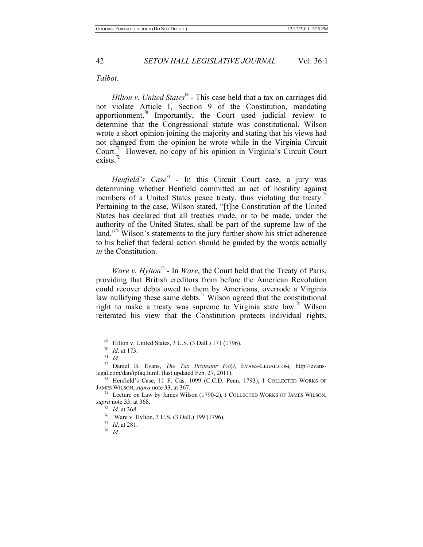#### *Talbot*.

*Hilton v. United States*<sup>69</sup> - This case held that a tax on carriages did not violate Article I, Section 9 of the Constitution, mandating apportionment.<sup>70</sup> Importantly, the Court used judicial review to determine that the Congressional statute was constitutional. Wilson wrote a short opinion joining the majority and stating that his views had not changed from the opinion he wrote while in the Virginia Circuit Court.<sup>71</sup> However, no copy of his opinion in Virginia's Circuit Court exists. $^{72}$ 

*Henfield's Case*<sup>73</sup> - In this Circuit Court case, a jury was determining whether Henfield committed an act of hostility against members of a United States peace treaty, thus violating the treaty.<sup>74</sup> Pertaining to the case, Wilson stated, "[t]he Constitution of the United States has declared that all treaties made, or to be made, under the authority of the United States, shall be part of the supreme law of the land."<sup>3</sup> Wilson's statements to the jury further show his strict adherence to his belief that federal action should be guided by the words actually *in* the Constitution.

*Ware v. Hylton*<sup> $\pi$ </sup> - In *Ware*, the Court held that the Treaty of Paris, providing that British creditors from before the American Revolution could recover debts owed to them by Americans, overrode a Virginia law nullifying these same debts.<sup>77</sup> Wilson agreed that the constitutional right to make a treaty was supreme to Virginia state law.<sup>78</sup> Wilson reiterated his view that the Constitution protects individual rights,

<sup>69</sup> Hilton v. United States, 3 U.S. (3 Dall.) 171 (1796). 70 *Id*. at 173. 71 *Id*. 72 Daniel B. Evans, *The Tax Protestor FAQ*, EVANS-LEGAL.COM*,* http://evanslegal.com/dan/tpfaq.html. (last updated Feb. 27, 2011). 73 Henfield's Case, 11 F. Cas. 1099 (C.C.D. Penn. 1793); <sup>1</sup> COLLECTED WORKS OF

JAMES WILSON, *supra* note 33, at 367. 74 Lecture on Law by James Wilson (1790-2), <sup>1</sup> COLLECTED WORKS OF JAMES WILSON,

*supra* note 33, at 368.<br><sup>75</sup> *Id.* at 368.<br><sup>76</sup> Ware v. Hylton, 3 U.S. (3 Dall.) 199 (1796).<br><sup>77</sup> *Id.* at 281.<br><sup>78</sup> *Id.*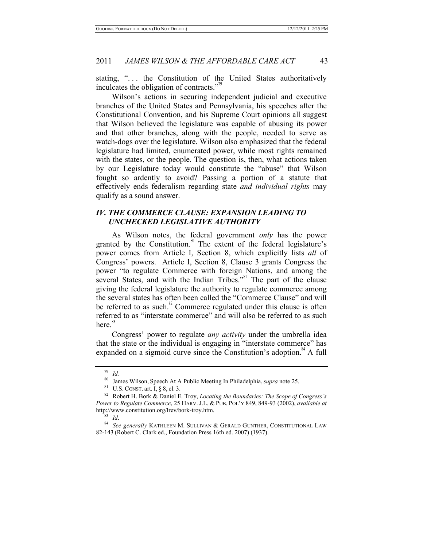stating, ". . . the Constitution of the United States authoritatively inculcates the obligation of contracts. $"$ 

Wilson's actions in securing independent judicial and executive branches of the United States and Pennsylvania, his speeches after the Constitutional Convention, and his Supreme Court opinions all suggest that Wilson believed the legislature was capable of abusing its power and that other branches, along with the people, needed to serve as watch-dogs over the legislature. Wilson also emphasized that the federal legislature had limited, enumerated power, while most rights remained with the states, or the people. The question is, then, what actions taken by our Legislature today would constitute the "abuse" that Wilson fought so ardently to avoid? Passing a portion of a statute that effectively ends federalism regarding state *and individual rights* may qualify as a sound answer.

## *IV. THE COMMERCE CLAUSE: EXPANSION LEADING TO UNCHECKED LEGISLATIVE AUTHORITY*

As Wilson notes, the federal government *only* has the power granted by the Constitution.<sup>80</sup> The extent of the federal legislature's power comes from Article I, Section 8, which explicitly lists *all* of Congress' powers. Article I, Section 8, Clause 3 grants Congress the power "to regulate Commerce with foreign Nations, and among the several States, and with the Indian Tribes."<sup>81</sup> The part of the clause giving the federal legislature the authority to regulate commerce among the several states has often been called the "Commerce Clause" and will be referred to as such. $82$  Commerce regulated under this clause is often referred to as "interstate commerce" and will also be referred to as such here $^{83}$ 

Congress' power to regulate *any activity* under the umbrella idea that the state or the individual is engaging in "interstate commerce" has expanded on a sigmoid curve since the Constitution's adoption. $A^*$  A full

<sup>&</sup>lt;sup>79</sup> *Id.*<br><sup>80</sup> James Wilson, Speech At A Public Meeting In Philadelphia, *supra* note 25.<br><sup>81</sup> U.S. CONST. art. I, § 8, cl. 3.<br><sup>82</sup> Robert H. Bork & Daniel E. Troy, *Locating the Boundaries: The Scope of Congress's Power to Regulate Commerce*, 25 HARV. J.L. & PUB. POL'Y 849, 849-93 (2002), *available at* http://www.constitution.org/lrev/bork-troy.htm. 83 *Id*. 84 *See generally* KATHLEEN M. SULLIVAN & GERALD GUNTHER, CONSTITUTIONAL LAW

<sup>82-143</sup> (Robert C. Clark ed., Foundation Press 16th ed. 2007) (1937).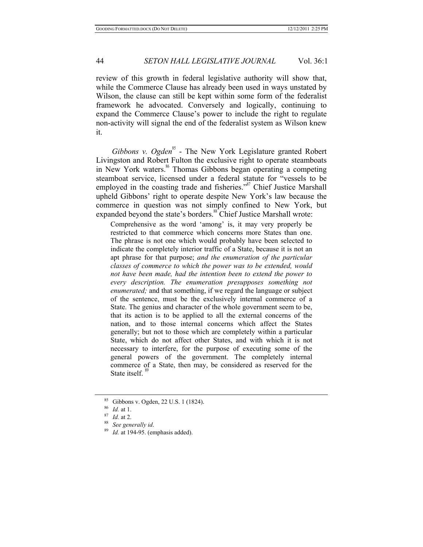review of this growth in federal legislative authority will show that, while the Commerce Clause has already been used in ways unstated by Wilson, the clause can still be kept within some form of the federalist framework he advocated. Conversely and logically, continuing to expand the Commerce Clause's power to include the right to regulate non-activity will signal the end of the federalist system as Wilson knew it.

*Gibbons v. Ogden*<sup>85</sup> - The New York Legislature granted Robert Livingston and Robert Fulton the exclusive right to operate steamboats in New York waters.<sup>86</sup> Thomas Gibbons began operating a competing steamboat service, licensed under a federal statute for "vessels to be employed in the coasting trade and fisheries."<sup>87</sup> Chief Justice Marshall upheld Gibbons' right to operate despite New York's law because the commerce in question was not simply confined to New York, but expanded beyond the state's borders.<sup>88</sup> Chief Justice Marshall wrote:

Comprehensive as the word 'among' is, it may very properly be restricted to that commerce which concerns more States than one. The phrase is not one which would probably have been selected to indicate the completely interior traffic of a State, because it is not an apt phrase for that purpose; *and the enumeration of the particular classes of commerce to which the power was to be extended, would not have been made, had the intention been to extend the power to every description. The enumeration presupposes something not enumerated;* and that something, if we regard the language or subject of the sentence, must be the exclusively internal commerce of a State. The genius and character of the whole government seem to be, that its action is to be applied to all the external concerns of the nation, and to those internal concerns which affect the States generally; but not to those which are completely within a particular State, which do not affect other States, and with which it is not necessary to interfere, for the purpose of executing some of the general powers of the government. The completely internal commerce of a State, then may, be considered as reserved for the State itself.

<sup>85</sup> Gibbons v. Ogden, 22 U.S. 1 (1824).<br><sup>86</sup> *Id.* at 1.<br><sup>87</sup> *Id.* at 2.<br><sup>88</sup> *Id.* at 194-95. (emphasis added).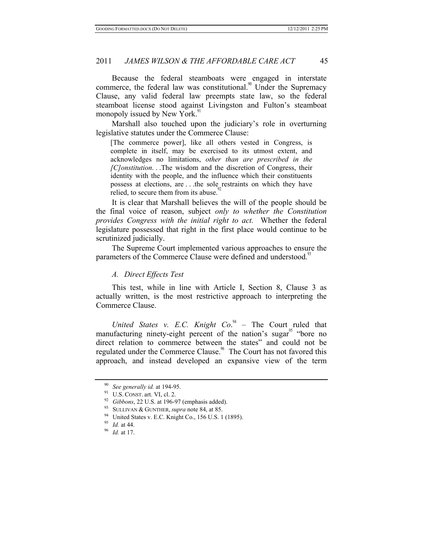Because the federal steamboats were engaged in interstate commerce, the federal law was constitutional.<sup>90</sup> Under the Supremacy Clause, any valid federal law preempts state law, so the federal steamboat license stood against Livingston and Fulton's steamboat monopoly issued by New York.<sup>91</sup>

Marshall also touched upon the judiciary's role in overturning legislative statutes under the Commerce Clause:

[The commerce power], like all others vested in Congress, is complete in itself, may be exercised to its utmost extent, and acknowledges no limitations, *other than are prescribed in the [C]onstitution*. . .The wisdom and the discretion of Congress, their identity with the people, and the influence which their constituents possess at elections, are . . .the sole restraints on which they have relied, to secure them from its abuse.<sup>9</sup>

It is clear that Marshall believes the will of the people should be the final voice of reason, subject *only to whether the Constitution provides Congress with the initial right to act.* Whether the federal legislature possessed that right in the first place would continue to be scrutinized judicially.

The Supreme Court implemented various approaches to ensure the parameters of the Commerce Clause were defined and understood.<sup>33</sup>

#### *A. Direct Effects Test*

This test, while in line with Article I, Section 8, Clause 3 as actually written, is the most restrictive approach to interpreting the Commerce Clause.

*United States v. E.C. Knight Co.*<sup>94</sup> – The Court ruled that manufacturing ninety-eight percent of the nation's sugar<sup>95</sup> "bore no direct relation to commerce between the states" and could not be regulated under the Commerce Clause.<sup>96</sup> The Court has not favored this approach, and instead developed an expansive view of the term

<sup>90</sup> *See generally id.* at 194-95.

<sup>&</sup>lt;sup>92</sup> *Gibbons*, 22 U.S. at 196-97 (emphasis added).<br><sup>93</sup> SULLIVAN & GUNTHER, *supra* note 84, at 85.<br><sup>94</sup> United States v. E.C. Knight Co., 156 U.S. 1 (1895).<br><sup>95</sup> Id. at 44.<br><sup>96</sup> Id. at 17.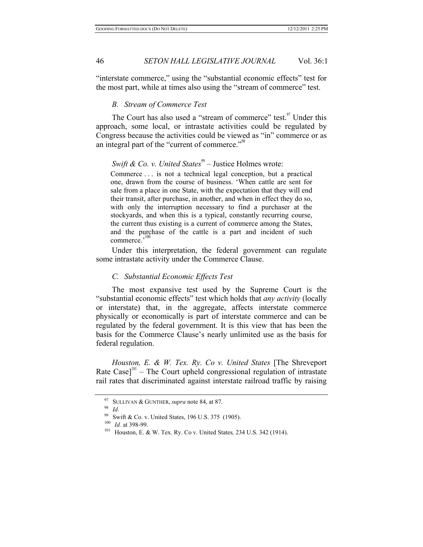"interstate commerce," using the "substantial economic effects" test for the most part, while at times also using the "stream of commerce" test.

#### *B. Stream of Commerce Test*

The Court has also used a "stream of commerce" test.<sup>97</sup> Under this approach, some local, or intrastate activities could be regulated by Congress because the activities could be viewed as "in" commerce or as an integral part of the "current of commerce."<sup>98</sup>

## *Swift & Co. v. United States*<sup>99</sup> – Justice Holmes wrote:

Commerce . . . is not a technical legal conception, but a practical one, drawn from the course of business. 'When cattle are sent for sale from a place in one State, with the expectation that they will end their transit, after purchase, in another, and when in effect they do so, with only the interruption necessary to find a purchaser at the stockyards, and when this is a typical, constantly recurring course, the current thus existing is a current of commerce among the States, and the purchase of the cattle is a part and incident of such commerce.'<sup>100</sup>

Under this interpretation, the federal government can regulate some intrastate activity under the Commerce Clause.

#### *C. Substantial Economic Effects Test*

The most expansive test used by the Supreme Court is the "substantial economic effects" test which holds that *any activity* (locally or interstate) that, in the aggregate, affects interstate commerce physically or economically is part of interstate commerce and can be regulated by the federal government. It is this view that has been the basis for the Commerce Clause's nearly unlimited use as the basis for federal regulation.

*Houston, E. & W. Tex. Ry. Co v. United States* [The Shreveport Rate Case] $101$  – The Court upheld congressional regulation of intrastate rail rates that discriminated against interstate railroad traffic by raising

<sup>97</sup> SULLIVAN & GUNTHER, *supra* note 84, at 87. 98 *Id.*

<sup>99</sup> Swift & Co. v. United States, 196 U.S. 375 (1905).<br><sup>100</sup> *Id.* at 398-99.<br><sup>101</sup> Houston, E. & W. Tex. Ry. Co v. United States, 234 U.S. 342 (1914).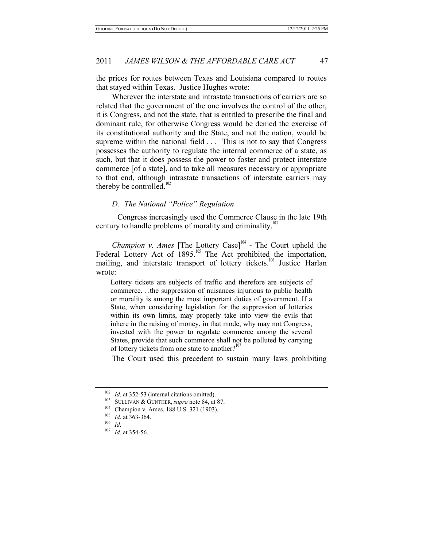the prices for routes between Texas and Louisiana compared to routes that stayed within Texas. Justice Hughes wrote:

Wherever the interstate and intrastate transactions of carriers are so related that the government of the one involves the control of the other, it is Congress, and not the state, that is entitled to prescribe the final and dominant rule, for otherwise Congress would be denied the exercise of its constitutional authority and the State, and not the nation, would be supreme within the national field . . . This is not to say that Congress possesses the authority to regulate the internal commerce of a state, as such, but that it does possess the power to foster and protect interstate commerce [of a state], and to take all measures necessary or appropriate to that end, although intrastate transactions of interstate carriers may thereby be controlled.<sup>102</sup>

#### *D. The National "Police" Regulation*

 Congress increasingly used the Commerce Clause in the late 19th century to handle problems of morality and criminality.<sup>1</sup>

*Champion v. Ames* [The Lottery Case] $104$  - The Court upheld the Federal Lottery Act of  $1895$ <sup>105</sup> The Act prohibited the importation, mailing, and interstate transport of lottery tickets.<sup>106</sup> Justice Harlan wrote:

Lottery tickets are subjects of traffic and therefore are subjects of commerce. . .the suppression of nuisances injurious to public health or morality is among the most important duties of government. If a State, when considering legislation for the suppression of lotteries within its own limits, may properly take into view the evils that inhere in the raising of money, in that mode, why may not Congress, invested with the power to regulate commerce among the several States, provide that such commerce shall not be polluted by carrying of lottery tickets from one state to another? $10^{\circ}$ 

The Court used this precedent to sustain many laws prohibiting

<sup>102</sup> *Id.* at 352-53 (internal citations omitted).<br>
<sup>103</sup> SULLIVAN & GUNTHER, *supra* note 84, at 87.<br>
<sup>104</sup> Champion v. Ames, 188 U.S. 321 (1903).<br>
<sup>105</sup> *Id.* at 363-364.<br>
<sup>107</sup> *Id.* at 354-56.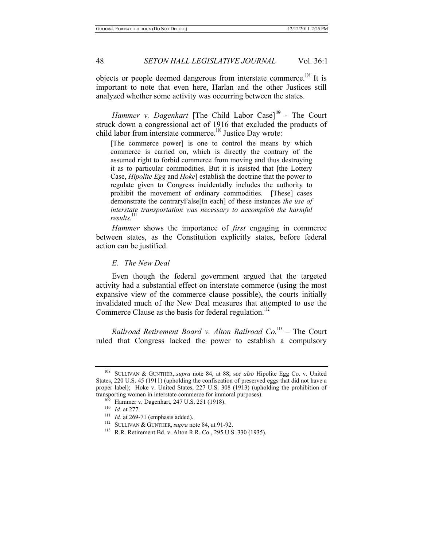objects or people deemed dangerous from interstate commerce.<sup>108</sup> It is important to note that even here, Harlan and the other Justices still analyzed whether some activity was occurring between the states.

*Hammer v. Dagenhart* [The Child Labor Case]<sup>109</sup> - The Court struck down a congressional act of 1916 that excluded the products of child labor from interstate commerce.<sup>110</sup> Justice Day wrote:

[The commerce power] is one to control the means by which commerce is carried on, which is directly the contrary of the assumed right to forbid commerce from moving and thus destroying it as to particular commodities. But it is insisted that [the Lottery Case, *Hipolite Egg* and *Hoke*] establish the doctrine that the power to regulate given to Congress incidentally includes the authority to prohibit the movement of ordinary commodities. [These] cases demonstrate the contraryFalse[In each] of these instances *the use of interstate transportation was necessary to accomplish the harmful*  results.<sup>111</sup>

*Hammer* shows the importance of *first* engaging in commerce between states, as the Constitution explicitly states, before federal action can be justified.

*E. The New Deal* 

Even though the federal government argued that the targeted activity had a substantial effect on interstate commerce (using the most expansive view of the commerce clause possible), the courts initially invalidated much of the New Deal measures that attempted to use the Commerce Clause as the basis for federal regulation.<sup>112</sup>

*Railroad Retirement Board v. Alton Railroad Co.*113 – The Court ruled that Congress lacked the power to establish a compulsory

<sup>108</sup> SULLIVAN & GUNTHER, *supra* note 84, at 88; s*ee also* Hipolite Egg Co. v. United States, 220 U.S. 45 (1911) (upholding the confiscation of preserved eggs that did not have a proper label); Hoke v. United States, 227 U.S. 308 (1913) (upholding the prohibition of transporting women in interstate commerce for immoral purposes).

<sup>&</sup>lt;sup>109</sup> Hammer v. Dagenhart, 247 U.S. 251 (1918).<br>
<sup>110</sup> *Id.* at 277.<br>
<sup>111</sup> *Id.* at 269-71 (emphasis added).<br>
<sup>112</sup> SULLIVAN & GUNTHER, *supra* note 84, at 91-92.<br>
<sup>113</sup> R.R. Retirement Bd. v. Alton R.R. Co., 295 U.S. 33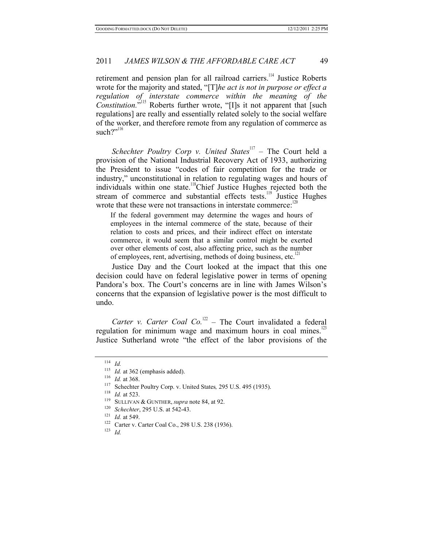retirement and pension plan for all railroad carriers.<sup>114</sup> Justice Roberts wrote for the majority and stated, "[T]*he act is not in purpose or effect a regulation of interstate commerce within the meaning of the Constitution.*"<sup>115</sup> Roberts further wrote, "[I]s it not apparent that [such] regulations] are really and essentially related solely to the social welfare of the worker, and therefore remote from any regulation of commerce as such?"<sup>116</sup>

*Schechter Poultry Corp v. United States*<sup>117</sup> – The Court held a provision of the National Industrial Recovery Act of 1933, authorizing the President to issue "codes of fair competition for the trade or industry," unconstitutional in relation to regulating wages and hours of individuals within one state.<sup>118</sup>Chief Justice Hughes rejected both the stream of commerce and substantial effects tests.<sup>119</sup> Justice Hughes wrote that these were not transactions in interstate commerce: $12$ 

If the federal government may determine the wages and hours of employees in the internal commerce of the state, because of their relation to costs and prices, and their indirect effect on interstate commerce, it would seem that a similar control might be exerted over other elements of cost, also affecting price, such as the number of employees, rent, advertising, methods of doing business, etc.<sup>1</sup>

Justice Day and the Court looked at the impact that this one decision could have on federal legislative power in terms of opening Pandora's box. The Court's concerns are in line with James Wilson's concerns that the expansion of legislative power is the most difficult to undo.

*Carter v. Carter Coal Co.*<sup>122</sup> – The Court invalidated a federal regulation for minimum wage and maximum hours in coal mines. $123$ Justice Sutherland wrote "the effect of the labor provisions of the

120 *Schechter*, 295 U.S. at 542-43.<br>
121 *Id.* at 549.<br>
122 Carter v. Carter Coal Co., 298 U.S. 238 (1936).<br>
123 *Id.* 

 $114$  *Id.*<br> $115$  *Id.* at 362 (emphasis added).

<sup>&</sup>lt;sup>116</sup> *Id.* at 368.<br>
<sup>117</sup> Schechter Poultry Corp. v. United States, 295 U.S. 495 (1935).<br> *IS Id. At 523.*<br>
<sup>119</sup> SULLIVAN & GUNTHER, *supra* note 84, at 92.<br>
<sup>120</sup> Schechter, 295 U.S. at 542.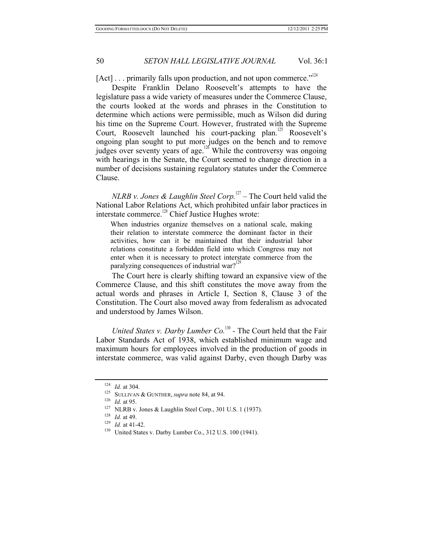[Act] . . . primarily falls upon production, and not upon commerce."<sup>124</sup>

Despite Franklin Delano Roosevelt's attempts to have the legislature pass a wide variety of measures under the Commerce Clause, the courts looked at the words and phrases in the Constitution to determine which actions were permissible, much as Wilson did during his time on the Supreme Court. However, frustrated with the Supreme Court, Roosevelt launched his court-packing plan.<sup>125</sup> Roosevelt's ongoing plan sought to put more judges on the bench and to remove judges over seventy years of age.<sup>126</sup> While the controversy was ongoing with hearings in the Senate, the Court seemed to change direction in a number of decisions sustaining regulatory statutes under the Commerce Clause.

*NLRB v. Jones & Laughlin Steel Corp.*<sup>127</sup> – The Court held valid the National Labor Relations Act, which prohibited unfair labor practices in interstate commerce.<sup>128</sup> Chief Justice Hughes wrote:

When industries organize themselves on a national scale, making their relation to interstate commerce the dominant factor in their activities, how can it be maintained that their industrial labor relations constitute a forbidden field into which Congress may not enter when it is necessary to protect interstate commerce from the paralyzing consequences of industrial war?<sup>129</sup>

The Court here is clearly shifting toward an expansive view of the Commerce Clause, and this shift constitutes the move away from the actual words and phrases in Article I, Section 8, Clause 3 of the Constitution. The Court also moved away from federalism as advocated and understood by James Wilson.

*United States v. Darby Lumber Co.*<sup>130</sup> - The Court held that the Fair Labor Standards Act of 1938, which established minimum wage and maximum hours for employees involved in the production of goods in interstate commerce, was valid against Darby, even though Darby was

<sup>&</sup>lt;sup>124</sup> *Id.* at 304.<br>
<sup>125</sup> SULLIVAN & GUNTHER, *supra* note 84, at 94.<br>
<sup>126</sup> *Id.* at 95.<br>
<sup>127</sup> NLRB v. Jones & Laughlin Steel Corp., 301 U.S. 1 (1937).<br>
<sup>128</sup> *Id.* at 49.<br>
<sup>129</sup> *Id.* at 41-42.<br>
<sup>129</sup> United States v.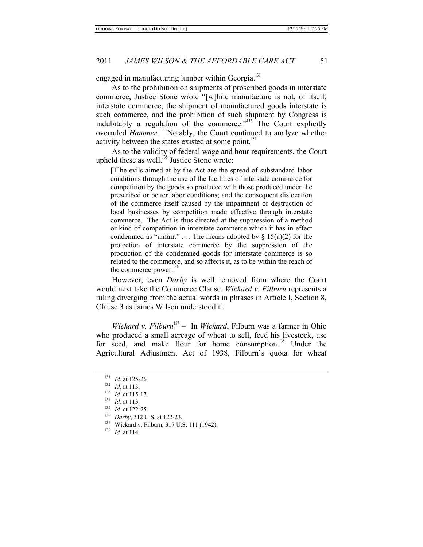engaged in manufacturing lumber within Georgia.<sup>131</sup>

As to the prohibition on shipments of proscribed goods in interstate commerce, Justice Stone wrote "[w]hile manufacture is not, of itself, interstate commerce, the shipment of manufactured goods interstate is such commerce, and the prohibition of such shipment by Congress is indubitably a regulation of the commerce."<sup>132</sup> The Court explicitly overruled *Hammer*.<sup>133</sup> Notably, the Court continued to analyze whether activity between the states existed at some point.<sup>134</sup>

As to the validity of federal wage and hour requirements, the Court upheld these as well.<sup> $135$ </sup> Justice Stone wrote:

[T]he evils aimed at by the Act are the spread of substandard labor conditions through the use of the facilities of interstate commerce for competition by the goods so produced with those produced under the prescribed or better labor conditions; and the consequent dislocation of the commerce itself caused by the impairment or destruction of local businesses by competition made effective through interstate commerce. The Act is thus directed at the suppression of a method or kind of competition in interstate commerce which it has in effect condemned as "unfair." . . . The means adopted by  $\S 15(a)(2)$  for the protection of interstate commerce by the suppression of the production of the condemned goods for interstate commerce is so related to the commerce, and so affects it, as to be within the reach of the commerce power.<sup>1</sup>

However, even *Darby* is well removed from where the Court would next take the Commerce Clause. *Wickard v. Filburn* represents a ruling diverging from the actual words in phrases in Article I, Section 8, Clause 3 as James Wilson understood it.

*Wickard v. Filburn*<sup>137</sup> – In *Wickard*, Filburn was a farmer in Ohio who produced a small acreage of wheat to sell, feed his livestock, use for seed, and make flour for home consumption.<sup>138</sup> Under the Agricultural Adjustment Act of 1938, Filburn's quota for wheat

<sup>&</sup>lt;sup>131</sup> *Id.* at 125-26.<br><sup>132</sup> *Id.* at 113.

<sup>133</sup> *Id.* at 115-17.<br>
134 *Id.* at 113.<br>
135 *Id.* at 122-25.<br>
136 *Darby*, 312 U.S. at 122-23.<br>
137 Wickard v. Filburn, 317 U.S. 111 (1942).<br>
138 *Id.* at 114.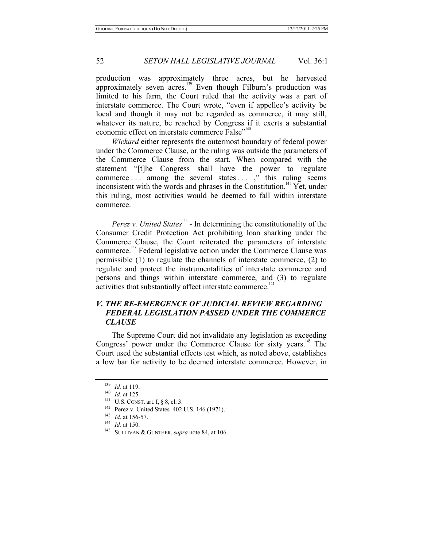production was approximately three acres, but he harvested approximately seven acres.<sup>139</sup> Even though Filburn's production was limited to his farm, the Court ruled that the activity was a part of interstate commerce. The Court wrote, "even if appellee's activity be local and though it may not be regarded as commerce, it may still, whatever its nature, be reached by Congress if it exerts a substantial economic effect on interstate commerce False"<sup>140</sup>

*Wickard* either represents the outermost boundary of federal power under the Commerce Clause, or the ruling was outside the parameters of the Commerce Clause from the start. When compared with the statement "[t]he Congress shall have the power to regulate commerce ... among the several states  $\dots$ ,  $\overrightarrow{ }$  this ruling seems inconsistent with the words and phrases in the Constitution.<sup> $14$ </sup> Yet, under this ruling, most activities would be deemed to fall within interstate commerce.

*Perez v. United States*<sup>142</sup> - In determining the constitutionality of the Consumer Credit Protection Act prohibiting loan sharking under the Commerce Clause, the Court reiterated the parameters of interstate commerce.<sup>143</sup> Federal legislative action under the Commerce Clause was permissible (1) to regulate the channels of interstate commerce, (2) to regulate and protect the instrumentalities of interstate commerce and persons and things within interstate commerce, and (3) to regulate activities that substantially affect interstate commerce.<sup>144</sup>

## *V. THE RE-EMERGENCE OF JUDICIAL REVIEW REGARDING FEDERAL LEGISLATION PASSED UNDER THE COMMERCE CLAUSE*

The Supreme Court did not invalidate any legislation as exceeding Congress' power under the Commerce Clause for sixty years.<sup>145</sup> The Court used the substantial effects test which, as noted above, establishes a low bar for activity to be deemed interstate commerce. However, in

<sup>&</sup>lt;sup>139</sup> *Id.* at 125.<br>
<sup>141</sup> *Id.* at 125.<br>
<sup>141</sup> U.S. CONST. art. I, § 8, cl. 3.<br>
<sup>142</sup> Perez v. United States, 402 U.S. 146 (1971).<br>
<sup>143</sup> *Id.* at 156-57.<br>
<sup>143</sup> *Id.* at 150.<br>
SULLIVAN & GUNTHER, *supra* note 84, at 106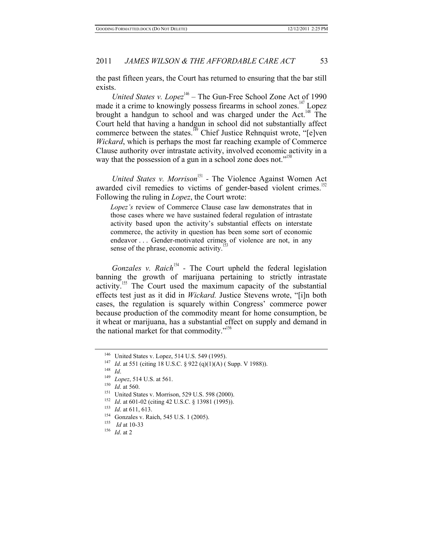the past fifteen years, the Court has returned to ensuring that the bar still exists.

*United States v. Lopez*<sup>146</sup> – The Gun-Free School Zone Act of 1990 made it a crime to knowingly possess firearms in school zones.<sup>147</sup> Lopez brought a handgun to school and was charged under the Act.<sup>148</sup> The Court held that having a handgun in school did not substantially affect commerce between the states.<sup>149</sup> Chief Justice Rehnquist wrote, "[e]ven *Wickard*, which is perhaps the most far reaching example of Commerce Clause authority over intrastate activity, involved economic activity in a way that the possession of a gun in a school zone does not."<sup>150</sup>

*United States v. Morrison*<sup>151</sup> - The Violence Against Women Act awarded civil remedies to victims of gender-based violent crimes.<sup>1</sup> Following the ruling in *Lopez*, the Court wrote:

*Lopez's* review of Commerce Clause case law demonstrates that in those cases where we have sustained federal regulation of intrastate activity based upon the activity's substantial effects on interstate commerce, the activity in question has been some sort of economic endeavor . . . Gender-motivated crimes of violence are not, in any sense of the phrase, economic activity.<sup>1</sup>

*Gonzales v. Raich*<sup>154</sup> - The Court upheld the federal legislation banning the growth of marijuana pertaining to strictly intrastate  $\alpha$  activity.<sup>155</sup> The Court used the maximum capacity of the substantial effects test just as it did in *Wickard.* Justice Stevens wrote, "[i]n both cases, the regulation is squarely within Congress' commerce power because production of the commodity meant for home consumption, be it wheat or marijuana, has a substantial effect on supply and demand in the national market for that commodity."<sup>156</sup>

<sup>&</sup>lt;sup>146</sup> United States v. Lopez, 514 U.S. 549 (1995).<br>
<sup>147</sup> *Id.* at 551 (citing 18 U.S.C. § 922 (q)(1)(A) ( Supp. V 1988)).<br>
<sup>148</sup> *Id.* at 560.<br>
<sup>150</sup> *Id.* at 560.<br>
United States v. Morrison, 529 U.S. 598 (2000).<br>
<sup>152</sup>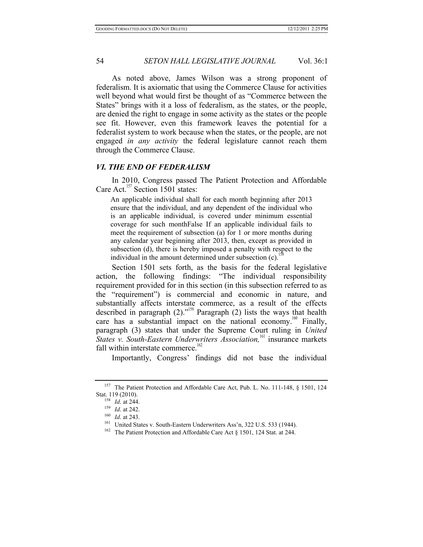As noted above, James Wilson was a strong proponent of federalism. It is axiomatic that using the Commerce Clause for activities well beyond what would first be thought of as "Commerce between the States" brings with it a loss of federalism, as the states, or the people, are denied the right to engage in some activity as the states or the people see fit. However, even this framework leaves the potential for a federalist system to work because when the states, or the people, are not engaged *in any activity* the federal legislature cannot reach them through the Commerce Clause.

## *VI. THE END OF FEDERALISM*

In 2010, Congress passed The Patient Protection and Affordable Care Act.<sup>157</sup> Section 1501 states:

An applicable individual shall for each month beginning after 2013 ensure that the individual, and any dependent of the individual who is an applicable individual, is covered under minimum essential coverage for such monthFalse If an applicable individual fails to meet the requirement of subsection (a) for 1 or more months during any calendar year beginning after 2013, then, except as provided in subsection (d), there is hereby imposed a penalty with respect to the individual in the amount determined under subsection (c).<sup>1</sup>

Section 1501 sets forth, as the basis for the federal legislative action, the following findings: "The individual responsibility requirement provided for in this section (in this subsection referred to as the "requirement") is commercial and economic in nature, and substantially affects interstate commerce, as a result of the effects described in paragraph (2).<sup>1159</sup> Paragraph (2) lists the ways that health care has a substantial impact on the national economy.<sup>160</sup> Finally, paragraph (3) states that under the Supreme Court ruling in *United*  **States v. South-Eastern Underwriters Association**,<sup>161</sup> insurance markets fall within interstate commerce.<sup>162</sup>

Importantly, Congress' findings did not base the individual

<sup>&</sup>lt;sup>157</sup> The Patient Protection and Affordable Care Act, Pub. L. No. 111-148,  $\S$  1501, 124 Stat. 119 (2010).

<sup>&</sup>lt;sup>158</sup> *Id.* at 244.<br>
<sup>159</sup> *Id.* at 242.<br>
<sup>160</sup> *Id.* at 243.<br>
<sup>161</sup> United States v. South-Eastern Underwriters Ass'n, 322 U.S. 533 (1944).<br>
<sup>161</sup> The Patient Protection and Affordable Care Act § 1501, 124 Stat. at 244.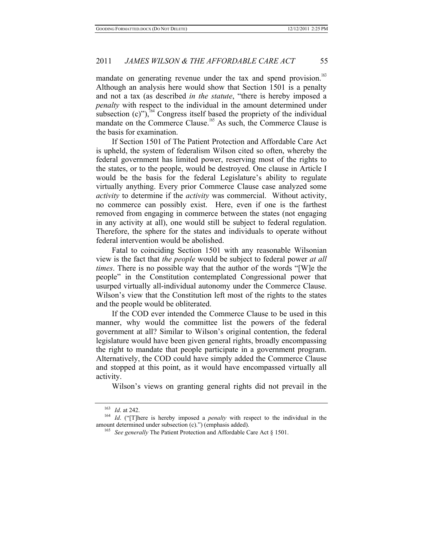mandate on generating revenue under the tax and spend provision.<sup>163</sup> Although an analysis here would show that Section 1501 is a penalty and not a tax (as described *in the statute*, "there is hereby imposed a *penalty* with respect to the individual in the amount determined under subsection (c)"),<sup>164</sup> Congress itself based the propriety of the individual mandate on the Commerce Clause.<sup>165</sup> As such, the Commerce Clause is the basis for examination.

If Section 1501 of The Patient Protection and Affordable Care Act is upheld, the system of federalism Wilson cited so often, whereby the federal government has limited power, reserving most of the rights to the states, or to the people, would be destroyed. One clause in Article I would be the basis for the federal Legislature's ability to regulate virtually anything. Every prior Commerce Clause case analyzed some *activity* to determine if the *activity* was commercial. Without activity, no commerce can possibly exist. Here, even if one is the farthest removed from engaging in commerce between the states (not engaging in any activity at all), one would still be subject to federal regulation. Therefore, the sphere for the states and individuals to operate without federal intervention would be abolished.

Fatal to coinciding Section 1501 with any reasonable Wilsonian view is the fact that *the people* would be subject to federal power *at all times*. There is no possible way that the author of the words "[W]e the people" in the Constitution contemplated Congressional power that usurped virtually all-individual autonomy under the Commerce Clause. Wilson's view that the Constitution left most of the rights to the states and the people would be obliterated.

If the COD ever intended the Commerce Clause to be used in this manner, why would the committee list the powers of the federal government at all? Similar to Wilson's original contention, the federal legislature would have been given general rights, broadly encompassing the right to mandate that people participate in a government program. Alternatively, the COD could have simply added the Commerce Clause and stopped at this point, as it would have encompassed virtually all activity.

Wilson's views on granting general rights did not prevail in the

<sup>163</sup> *Id*. at 242. 164 *Id*. ("[T]here is hereby imposed a *penalty* with respect to the individual in the amount determined under subsection (c).") (emphasis added). 165 *See generally* The Patient Protection and Affordable Care Act § 1501.